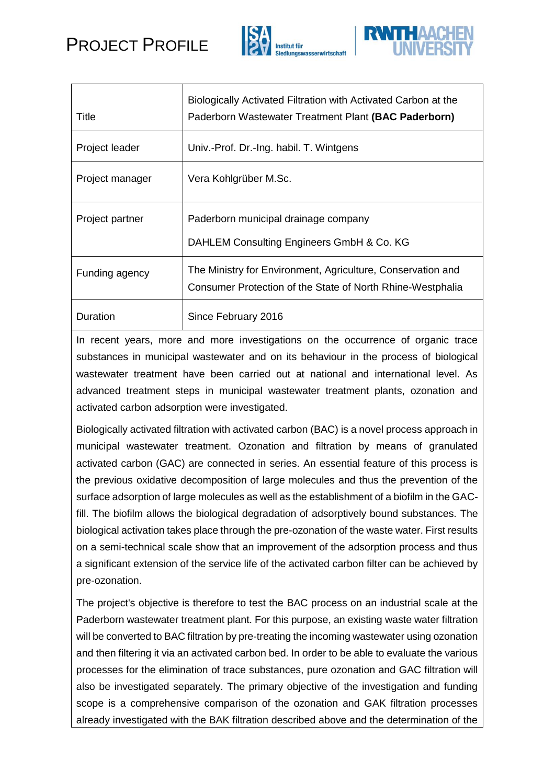## PROJECT PROFILE





| Title           | Biologically Activated Filtration with Activated Carbon at the<br>Paderborn Wastewater Treatment Plant (BAC Paderborn)    |
|-----------------|---------------------------------------------------------------------------------------------------------------------------|
| Project leader  | Univ.-Prof. Dr.-Ing. habil. T. Wintgens                                                                                   |
| Project manager | Vera Kohlgrüber M.Sc.                                                                                                     |
| Project partner | Paderborn municipal drainage company<br>DAHLEM Consulting Engineers GmbH & Co. KG                                         |
| Funding agency  | The Ministry for Environment, Agriculture, Conservation and<br>Consumer Protection of the State of North Rhine-Westphalia |
| Duration        | Since February 2016                                                                                                       |

In recent years, more and more investigations on the occurrence of organic trace substances in municipal wastewater and on its behaviour in the process of biological wastewater treatment have been carried out at national and international level. As advanced treatment steps in municipal wastewater treatment plants, ozonation and activated carbon adsorption were investigated.

Biologically activated filtration with activated carbon (BAC) is a novel process approach in municipal wastewater treatment. Ozonation and filtration by means of granulated activated carbon (GAC) are connected in series. An essential feature of this process is the previous oxidative decomposition of large molecules and thus the prevention of the surface adsorption of large molecules as well as the establishment of a biofilm in the GACfill. The biofilm allows the biological degradation of adsorptively bound substances. The biological activation takes place through the pre-ozonation of the waste water. First results on a semi-technical scale show that an improvement of the adsorption process and thus a significant extension of the service life of the activated carbon filter can be achieved by pre-ozonation.

The project's objective is therefore to test the BAC process on an industrial scale at the Paderborn wastewater treatment plant. For this purpose, an existing waste water filtration will be converted to BAC filtration by pre-treating the incoming wastewater using ozonation and then filtering it via an activated carbon bed. In order to be able to evaluate the various processes for the elimination of trace substances, pure ozonation and GAC filtration will also be investigated separately. The primary objective of the investigation and funding scope is a comprehensive comparison of the ozonation and GAK filtration processes already investigated with the BAK filtration described above and the determination of the